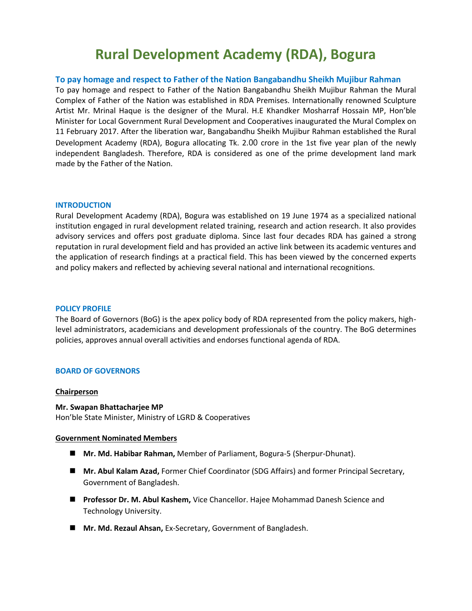# **Rural Development Academy (RDA), Bogura**

#### **To pay homage and respect to Father of the Nation Bangabandhu Sheikh Mujibur Rahman**

To pay homage and respect to Father of the Nation Bangabandhu Sheikh Mujibur Rahman the Mural Complex of Father of the Nation was established in RDA Premises. Internationally renowned Sculpture Artist Mr. Mrinal Haque is the designer of the Mural. H.E Khandker Mosharraf Hossain MP, Hon'ble Minister for Local Government Rural Development and Cooperatives inaugurated the Mural Complex on 11 February 2017. After the liberation war, Bangabandhu Sheikh Mujibur Rahman established the Rural Development Academy (RDA), Bogura allocating Tk. 2.00 crore in the 1st five year plan of the newly independent Bangladesh. Therefore, RDA is considered as one of the prime development land mark made by the Father of the Nation.

#### **INTRODUCTION**

Rural Development Academy (RDA), Bogura was established on 19 June 1974 as a specialized national institution engaged in rural development related training, research and action research. It also provides advisory services and offers post graduate diploma. Since last four decades RDA has gained a strong reputation in rural development field and has provided an active link between its academic ventures and the application of research findings at a practical field. This has been viewed by the concerned experts and policy makers and reflected by achieving several national and international recognitions.

#### **POLICY PROFILE**

The Board of Governors (BoG) is the apex policy body of RDA represented from the policy makers, highlevel administrators, academicians and development professionals of the country. The BoG determines policies, approves annual overall activities and endorses functional agenda of RDA.

#### **BOARD OF GOVERNORS**

#### **Chairperson**

#### **Mr. Swapan Bhattacharjee MP**

Hon'ble State Minister, Ministry of LGRD & Cooperatives

#### **Government Nominated Members**

- **Mr. Md. Habibar Rahman,** Member of Parliament, Bogura-5 (Sherpur-Dhunat).
- **Mr. Abul Kalam Azad,** Former Chief Coordinator (SDG Affairs) and former Principal Secretary, Government of Bangladesh.
- **Professor Dr. M. Abul Kashem,** Vice Chancellor. Hajee Mohammad Danesh Science and Technology University.
- **Mr. Md. Rezaul Ahsan,** Ex-Secretary, Government of Bangladesh.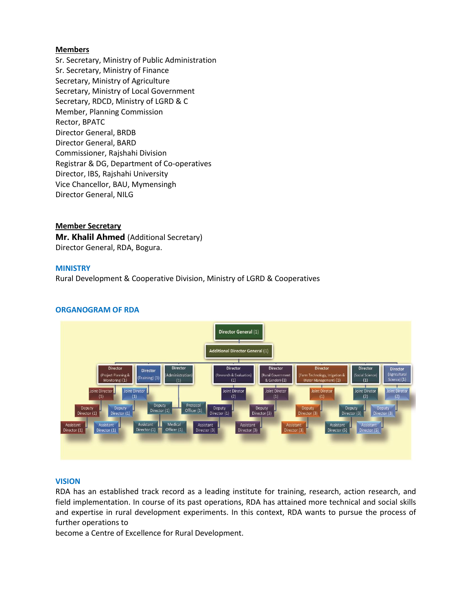#### **Members**

Sr. Secretary, Ministry of Public Administration Sr. Secretary, Ministry of Finance Secretary, Ministry of Agriculture Secretary, Ministry of Local Government Secretary, RDCD, Ministry of LGRD & C Member, Planning Commission Rector, BPATC Director General, BRDB Director General, BARD Commissioner, Rajshahi Division Registrar & DG, Department of Co-operatives Director, IBS, Rajshahi University Vice Chancellor, BAU, Mymensingh Director General, NILG

# **Member Secretary Mr. Khalil Ahmed** (Additional Secretary)

Director General, RDA, Bogura.

# **MINISTRY**

Rural Development & Cooperative Division, Ministry of LGRD & Cooperatives

# **ORGANOGRAM OF RDA**



#### **VISION**

RDA has an established track record as a leading institute for training, research, action research, and field implementation. In course of its past operations, RDA has attained more technical and social skills and expertise in rural development experiments. In this context, RDA wants to pursue the process of further operations to

become a Centre of Excellence for Rural Development.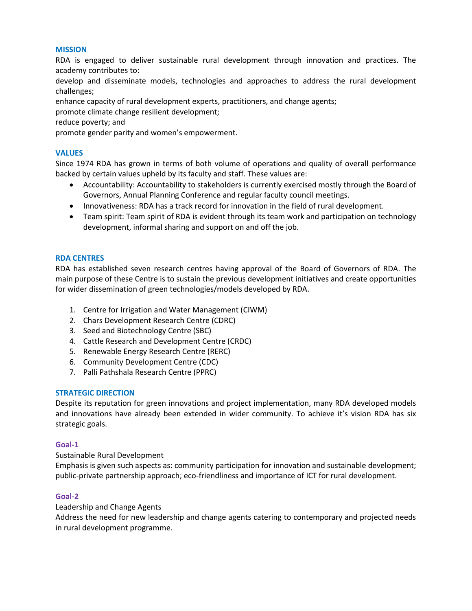#### **MISSION**

RDA is engaged to deliver sustainable rural development through innovation and practices. The academy contributes to:

develop and disseminate models, technologies and approaches to address the rural development challenges;

enhance capacity of rural development experts, practitioners, and change agents;

promote climate change resilient development;

reduce poverty; and

promote gender parity and women's empowerment.

# **VALUES**

Since 1974 RDA has grown in terms of both volume of operations and quality of overall performance backed by certain values upheld by its faculty and staff. These values are:

- Accountability: Accountability to stakeholders is currently exercised mostly through the Board of Governors, Annual Planning Conference and regular faculty council meetings.
- Innovativeness: RDA has a track record for innovation in the field of rural development.
- Team spirit: Team spirit of RDA is evident through its team work and participation on technology development, informal sharing and support on and off the job.

# **RDA CENTRES**

RDA has established seven research centres having approval of the Board of Governors of RDA. The main purpose of these Centre is to sustain the previous development initiatives and create opportunities for wider dissemination of green technologies/models developed by RDA.

- 1. Centre for Irrigation and Water Management (CIWM)
- 2. Chars Development Research Centre (CDRC)
- 3. Seed and Biotechnology Centre (SBC)
- 4. Cattle Research and Development Centre (CRDC)
- 5. Renewable Energy Research Centre (RERC)
- 6. Community Development Centre (CDC)
- 7. Palli Pathshala Research Centre (PPRC)

# **STRATEGIC DIRECTION**

Despite its reputation for green innovations and project implementation, many RDA developed models and innovations have already been extended in wider community. To achieve it's vision RDA has six strategic goals.

#### **Goal-1**

Sustainable Rural Development

Emphasis is given such aspects as: community participation for innovation and sustainable development; public-private partnership approach; eco-friendliness and importance of ICT for rural development.

# **Goal-2**

#### Leadership and Change Agents

Address the need for new leadership and change agents catering to contemporary and projected needs in rural development programme.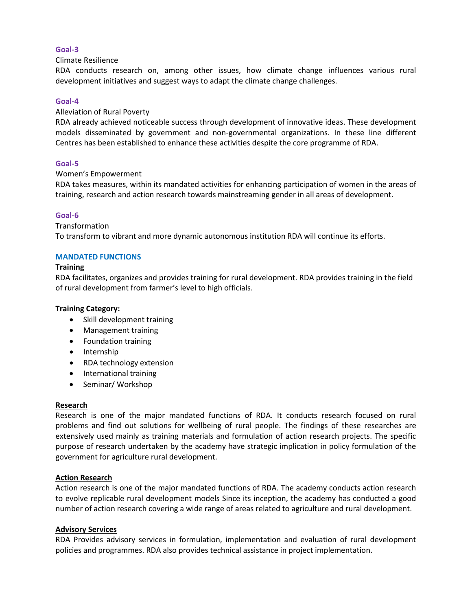# **Goal-3**

#### Climate Resilience

RDA conducts research on, among other issues, how climate change influences various rural development initiatives and suggest ways to adapt the climate change challenges.

# **Goal-4**

#### Alleviation of Rural Poverty

RDA already achieved noticeable success through development of innovative ideas. These development models disseminated by government and non-governmental organizations. In these line different Centres has been established to enhance these activities despite the core programme of RDA.

# **Goal-5**

# Women's Empowerment

RDA takes measures, within its mandated activities for enhancing participation of women in the areas of training, research and action research towards mainstreaming gender in all areas of development.

# **Goal-6**

# **Transformation**

To transform to vibrant and more dynamic autonomous institution RDA will continue its efforts.

# **MANDATED FUNCTIONS**

# **Training**

RDA facilitates, organizes and provides training for rural development. RDA provides training in the field of rural development from farmer's level to high officials.

#### **Training Category:**

- Skill development training
- Management training
- Foundation training
- Internship
- RDA technology extension
- International training
- Seminar/ Workshop

#### **Research**

Research is one of the major mandated functions of RDA. It conducts research focused on rural problems and find out solutions for wellbeing of rural people. The findings of these researches are extensively used mainly as training materials and formulation of action research projects. The specific purpose of research undertaken by the academy have strategic implication in policy formulation of the government for agriculture rural development.

#### **Action Research**

Action research is one of the major mandated functions of RDA. The academy conducts action research to evolve replicable rural development models Since its inception, the academy has conducted a good number of action research covering a wide range of areas related to agriculture and rural development.

#### **Advisory Services**

RDA Provides advisory services in formulation, implementation and evaluation of rural development policies and programmes. RDA also provides technical assistance in project implementation.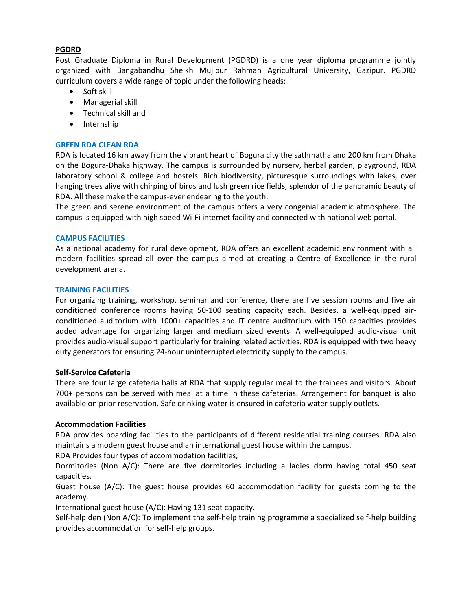# **PGDRD**

Post Graduate Diploma in Rural Development (PGDRD) is a one year diploma programme jointly organized with Bangabandhu Sheikh Mujibur Rahman Agricultural University, Gazipur. PGDRD curriculum covers a wide range of topic under the following heads:

- Soft skill
- Managerial skill
- Technical skill and
- Internship

# **GREEN RDA CLEAN RDA**

RDA is located 16 km away from the vibrant heart of Bogura city the sathmatha and 200 km from Dhaka on the Bogura-Dhaka highway. The campus is surrounded by nursery, herbal garden, playground, RDA laboratory school & college and hostels. Rich biodiversity, picturesque surroundings with lakes, over hanging trees alive with chirping of birds and lush green rice fields, splendor of the panoramic beauty of RDA. All these make the campus-ever endearing to the youth.

The green and serene environment of the campus offers a very congenial academic atmosphere. The campus is equipped with high speed Wi-Fi internet facility and connected with national web portal.

# **CAMPUS FACILITIES**

As a national academy for rural development, RDA offers an excellent academic environment with all modern facilities spread all over the campus aimed at creating a Centre of Excellence in the rural development arena.

# **TRAINING FACILITIES**

For organizing training, workshop, seminar and conference, there are five session rooms and five air conditioned conference rooms having 50-100 seating capacity each. Besides, a well-equipped airconditioned auditorium with 1000+ capacities and IT centre auditorium with 150 capacities provides added advantage for organizing larger and medium sized events. A well-equipped audio-visual unit provides audio-visual support particularly for training related activities. RDA is equipped with two heavy duty generators for ensuring 24-hour uninterrupted electricity supply to the campus.

#### **Self-Service Cafeteria**

There are four large cafeteria halls at RDA that supply regular meal to the trainees and visitors. About 700+ persons can be served with meal at a time in these cafeterias. Arrangement for banquet is also available on prior reservation. Safe drinking water is ensured in cafeteria water supply outlets.

#### **Accommodation Facilities**

RDA provides boarding facilities to the participants of different residential training courses. RDA also maintains a modern guest house and an international guest house within the campus.

RDA Provides four types of accommodation facilities;

Dormitories (Non A/C): There are five dormitories including a ladies dorm having total 450 seat capacities.

Guest house (A/C): The guest house provides 60 accommodation facility for guests coming to the academy.

International guest house (A/C): Having 131 seat capacity.

Self-help den (Non A/C): To implement the self-help training programme a specialized self-help building provides accommodation for self-help groups.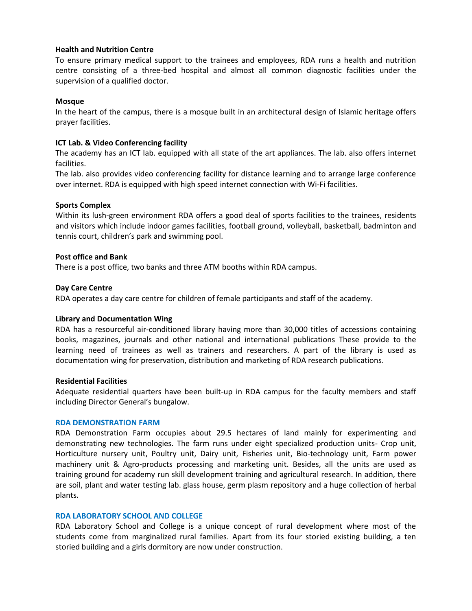# **Health and Nutrition Centre**

To ensure primary medical support to the trainees and employees, RDA runs a health and nutrition centre consisting of a three-bed hospital and almost all common diagnostic facilities under the supervision of a qualified doctor.

# **Mosque**

In the heart of the campus, there is a mosque built in an architectural design of Islamic heritage offers prayer facilities.

# **ICT Lab. & Video Conferencing facility**

The academy has an ICT lab. equipped with all state of the art appliances. The lab. also offers internet facilities.

The lab. also provides video conferencing facility for distance learning and to arrange large conference over internet. RDA is equipped with high speed internet connection with Wi-Fi facilities.

# **Sports Complex**

Within its lush-green environment RDA offers a good deal of sports facilities to the trainees, residents and visitors which include indoor games facilities, football ground, volleyball, basketball, badminton and tennis court, children's park and swimming pool.

# **Post office and Bank**

There is a post office, two banks and three ATM booths within RDA campus.

# **Day Care Centre**

RDA operates a day care centre for children of female participants and staff of the academy.

#### **Library and Documentation Wing**

RDA has a resourceful air-conditioned library having more than 30,000 titles of accessions containing books, magazines, journals and other national and international publications These provide to the learning need of trainees as well as trainers and researchers. A part of the library is used as documentation wing for preservation, distribution and marketing of RDA research publications.

# **Residential Facilities**

Adequate residential quarters have been built-up in RDA campus for the faculty members and staff including Director General's bungalow.

#### **RDA DEMONSTRATION FARM**

RDA Demonstration Farm occupies about 29.5 hectares of land mainly for experimenting and demonstrating new technologies. The farm runs under eight specialized production units- Crop unit, Horticulture nursery unit, Poultry unit, Dairy unit, Fisheries unit, Bio-technology unit, Farm power machinery unit & Agro-products processing and marketing unit. Besides, all the units are used as training ground for academy run skill development training and agricultural research. In addition, there are soil, plant and water testing lab. glass house, germ plasm repository and a huge collection of herbal plants.

#### **RDA LABORATORY SCHOOL AND COLLEGE**

RDA Laboratory School and College is a unique concept of rural development where most of the students come from marginalized rural families. Apart from its four storied existing building, a ten storied building and a girls dormitory are now under construction.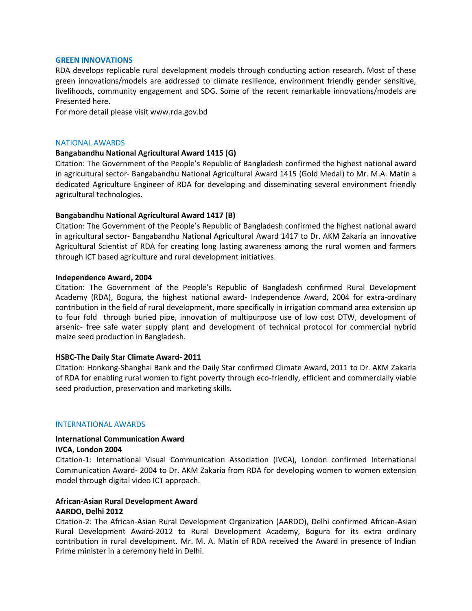#### **GREEN INNOVATIONS**

RDA develops replicable rural development models through conducting action research. Most of these green innovations/models are addressed to climate resilience, environment friendly gender sensitive, livelihoods, community engagement and SDG. Some of the recent remarkable innovations/models are Presented here.

For more detail please visit www.rda.gov.bd

#### NATIONAL AWARDS

#### **Bangabandhu National Agricultural Award 1415 (G)**

Citation: The Government of the People's Republic of Bangladesh confirmed the highest national award in agricultural sector- Bangabandhu National Agricultural Award 1415 (Gold Medal) to Mr. M.A. Matin a dedicated Agriculture Engineer of RDA for developing and disseminating several environment friendly agricultural technologies.

# **Bangabandhu National Agricultural Award 1417 (B)**

Citation: The Government of the People's Republic of Bangladesh confirmed the highest national award in agricultural sector- Bangabandhu National Agricultural Award 1417 to Dr. AKM Zakaria an innovative Agricultural Scientist of RDA for creating long lasting awareness among the rural women and farmers through ICT based agriculture and rural development initiatives.

#### **Independence Award, 2004**

Citation: The Government of the People's Republic of Bangladesh confirmed Rural Development Academy (RDA), Bogura, the highest national award- Independence Award, 2004 for extra-ordinary contribution in the field of rural development, more specifically in irrigation command area extension up to four fold through buried pipe, innovation of multipurpose use of low cost DTW, development of arsenic- free safe water supply plant and development of technical protocol for commercial hybrid maize seed production in Bangladesh.

#### **HSBC-The Daily Star Climate Award- 2011**

Citation: Honkong-Shanghai Bank and the Daily Star confirmed Climate Award, 2011 to Dr. AKM Zakaria of RDA for enabling rural women to fight poverty through eco-friendly, efficient and commercially viable seed production, preservation and marketing skills.

#### INTERNATIONAL AWARDS

# **International Communication Award**

#### **IVCA, London 2004**

Citation-1: International Visual Communication Association (IVCA), London confirmed International Communication Award- 2004 to Dr. AKM Zakaria from RDA for developing women to women extension model through digital video ICT approach.

# **African-Asian Rural Development Award AARDO, Delhi 2012**

Citation-2: The African-Asian Rural Development Organization (AARDO), Delhi confirmed African-Asian Rural Development Award-2012 to Rural Development Academy, Bogura for its extra ordinary contribution in rural development. Mr. M. A. Matin of RDA received the Award in presence of Indian Prime minister in a ceremony held in Delhi.